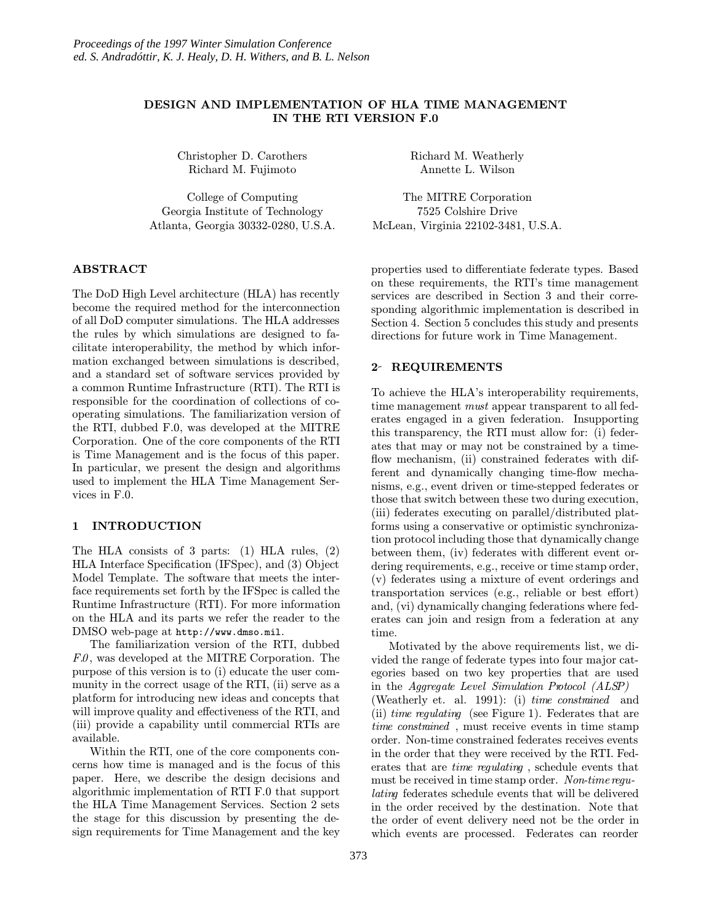# DESIGN AND IMPLEMENTATION OF HLA TIME MANAGEMENT IN THE RTI VERSION F.0

Christopher D. Carothers Richard M. Fujimoto

College of Computing Georgia Institute of Technology Atlanta, Georgia 30332-0280, U.S.A.

# ABSTRACT

The DoD High Level architecture (HLA) has recently become the required method for the interconnection of all DoD computer simulations. The HLA addresses the rules by which simulations are designed to facilitate interoperability, the method by which information exchanged between simulations is described, and a standard set of software services provided by a common Runtime Infrastructure (RTI). The RTI is responsible for the coordination of collections of cooperating simulations. The familiarization version of the RTI, dubbed F.0, was developed at the MITRE Corporation. One of the core components of the RTI is Time Management and is the focus of this paper. In particular, we present the design and algorithms used to implement the HLA Time Management Services in F.0.

## 1 INTRODUCTION

The HLA consists of 3 parts: (1) HLA rules, (2) HLA Interface Specification (IFSpec), and (3) Object Model Template. The software that meets the interface requirements set forth by the IFSpec is called the Runtime Infrastructure (RTI). For more information on the HLA and its parts we refer the reader to the DMSO web-page at http://www.dmso.mil.

The familiarization version of the RTI, dubbed  $F.0$ , was developed at the MITRE Corporation. The purpose of this version is to (i) educate the user community in the correct usage of the RTI, (ii) serve as a platform for introducing new ideas and concepts that will improve quality and effectiveness of the RTI, and (iii) provide a capability until commercial RTIs are available.

Within the RTI, one of the core components concerns how time is managed and is the focus of this paper. Here, we describe the design decisions and algorithmic implementation of RTI F.0 that support the HLA Time Management Services. Section 2 sets the stage for this discussion by presenting the design requirements for Time Management and the key

Richard M. Weatherly Annette L. Wilson

The MITRE Corporation 7525 Colshire Drive McLean, Virginia 22102-3481, U.S.A.

properties used to differentiate federate types. Based on these requirements, the RTI's time management services are described in Section 3 and their corresponding algorithmic implementation is described in Section 4. Section 5 concludes this study and presents directions for future work in Time Management.

## 2- REQUIREMENTS

To achieve the HLA's interoperability requirements, time management *must* appear transparent to all federates engaged in a given federation. Insupporting this transparency, the RTI must allow for: (i) federates that may or may not be constrained by a timeflow mechanism, (ii) constrained federates with different and dynamically changing time-flow mechanisms, e.g., event driven or time-stepped federates or those that switch between these two during execution, (iii) federates executing on parallel/distributed platforms using a conservative or optimistic synchronization protocol including those that dynamically change between them, (iv) federates with different event ordering requirements, e.g., receive or time stamp order, (v) federates using a mixture of event orderings and transportation services (e.g., reliable or best effort) and, (vi) dynamically changing federations where federates can join and resign from a federation at any time.

Motivated by the above requirements list, we divided the range of federate types into four major categories based on two key properties that are used in the Aggregate Level Simulation Protocol (ALSP) (Weatherly et. al. 1991): (i) time constrained and (ii) time regulating (see Figure 1). Federates that are time constrained , must receive events in time stamp order. Non-time constrained federates receives events in the order that they were received by the RTI. Federates that are time regulating , schedule events that must be received in time stamp order. Non-time regulating federates schedule events that will be delivered in the order received by the destination. Note that the order of event delivery need not be the order in which events are processed. Federates can reorder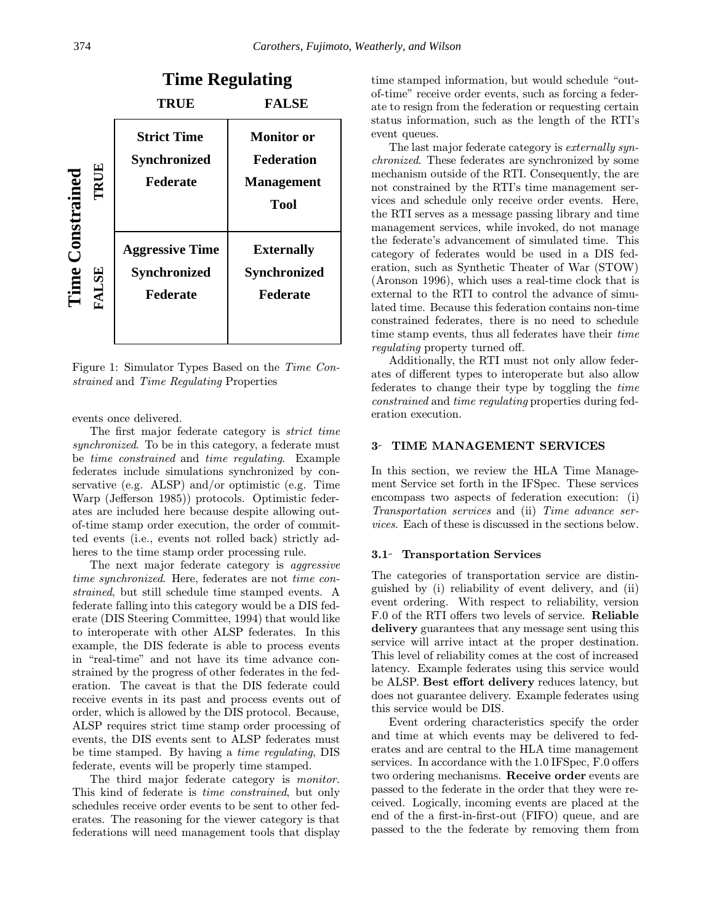|                      | <b>Time Regulating</b>                                    |                                                                     |
|----------------------|-----------------------------------------------------------|---------------------------------------------------------------------|
|                      | TRUE                                                      | <b>FALSE</b>                                                        |
| TRUE<br>Constrained  | <b>Strict Time</b><br><b>Synchronized</b><br>Federate     | <b>Monitor</b> or<br><b>Federation</b><br><b>Management</b><br>Tool |
| Time<br><b>FALSE</b> | <b>Aggressive Time</b><br><b>Synchronized</b><br>Federate | <b>Externally</b><br><b>Synchronized</b><br>Federate                |

Figure 1: Simulator Types Based on the Time Constrained and Time Regulating Properties

events once delivered.

The first major federate category is *strict time* synchronized. To be in this category, a federate must be time constrained and time regulating. Example federates include simulations synchronized by conservative (e.g. ALSP) and/or optimistic (e.g. Time Warp (Jefferson 1985)) protocols. Optimistic federates are included here because despite allowing outof-time stamp order execution, the order of committed events (i.e., events not rolled back) strictly adheres to the time stamp order processing rule.

The next major federate category is aggressive time synchronized. Here, federates are not time constrained, but still schedule time stamped events. A federate falling into this category would be a DIS federate (DIS Steering Committee, 1994) that would like to interoperate with other ALSP federates. In this example, the DIS federate is able to process events in "real-time" and not have its time advance constrained by the progress of other federates in the federation. The caveat is that the DIS federate could receive events in its past and process events out of order, which is allowed by the DIS protocol. Because, ALSP requires strict time stamp order processing of events, the DIS events sent to ALSP federates must be time stamped. By having a time regulating, DIS federate, events will be properly time stamped.

The third major federate category is *monitor*. This kind of federate is time constrained, but only schedules receive order events to be sent to other federates. The reasoning for the viewer category is that federations will need management tools that display time stamped information, but would schedule "outof-time" receive order events, such as forcing a federate to resign from the federation or requesting certain status information, such as the length of the RTI's event queues.

The last major federate category is *externally syn*chronized. These federates are synchronized by some mechanism outside of the RTI. Consequently, the are not constrained by the RTI's time management services and schedule only receive order events. Here, the RTI serves as a message passing library and time management services, while invoked, do not manage the federate's advancement of simulated time. This category of federates would be used in a DIS federation, such as Synthetic Theater of War (STOW) (Aronson 1996), which uses a real-time clock that is external to the RTI to control the advance of simulated time. Because this federation contains non-time constrained federates, there is no need to schedule time stamp events, thus all federates have their time regulating property turned off.

Additionally, the RTI must not only allow federates of different types to interoperate but also allow federates to change their type by toggling the time constrained and time regulating properties during federation execution.

### 3- TIME MANAGEMENT SERVICES

In this section, we review the HLA Time Management Service set forth in the IFSpec. These services encompass two aspects of federation execution: (i) Transportation services and (ii) Time advance services. Each of these is discussed in the sections below.

### 3.1 Transportation Services

The categories of transportation service are distinguished by (i) reliability of event delivery, and (ii) event ordering. With respect to reliability, version F.0 of the RTI offers two levels of service. Reliable delivery guarantees that any message sent using this service will arrive intact at the proper destination. This level of reliability comes at the cost of increased latency. Example federates using this service would be ALSP. Best effort delivery reduces latency, but does not guarantee delivery. Example federates using this service would be DIS.

Event ordering characteristics specify the order and time at which events may be delivered to federates and are central to the HLA time management services. In accordance with the 1.0 IFSpec, F.0 offers two ordering mechanisms. Receive order events are passed to the federate in the order that they were received. Logically, incoming events are placed at the end of the a first-in-first-out (FIFO) queue, and are passed to the the federate by removing them from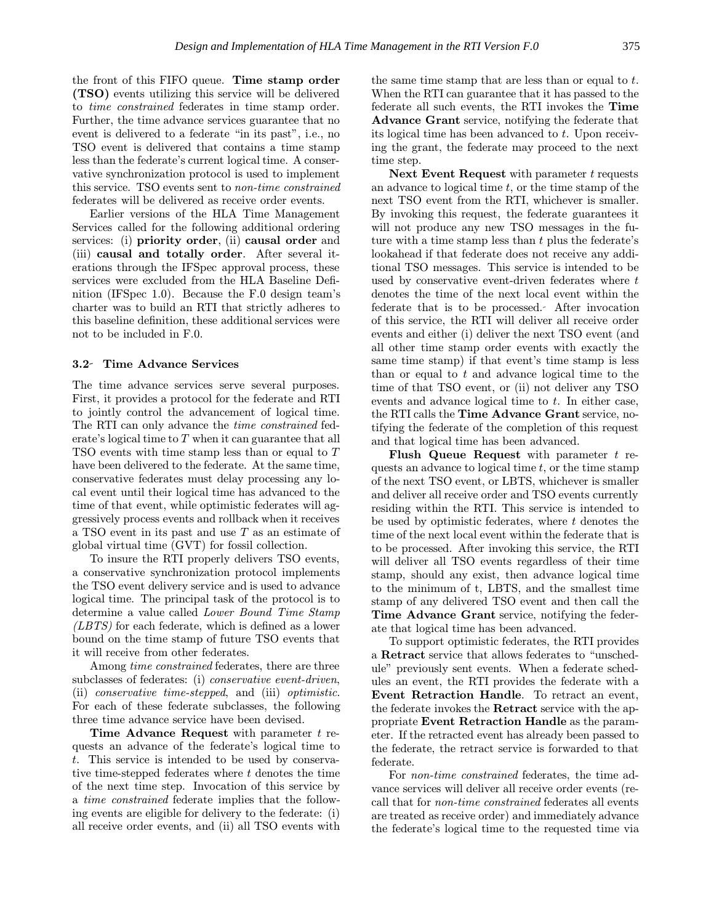the front of this FIFO queue. Time stamp order (TSO) events utilizing this service will be delivered to time constrained federates in time stamp order. Further, the time advance services guarantee that no event is delivered to a federate "in its past", i.e., no TSO event is delivered that contains a time stamp less than the federate's current logical time. A conservative synchronization protocol is used to implement this service. TSO events sent to non-time constrained federates will be delivered as receive order events.

Earlier versions of the HLA Time Management Services called for the following additional ordering services: (i) priority order, (ii) causal order and (iii) causal and totally order. After several iterations through the IFSpec approval process, these services were excluded from the HLA Baseline Definition (IFSpec 1.0). Because the F.0 design team's charter was to build an RTI that strictly adheres to this baseline definition, these additional services were not to be included in F.0.

# 3.2 Time Advance Services

The time advance services serve several purposes. First, it provides a protocol for the federate and RTI to jointly control the advancement of logical time. The RTI can only advance the time constrained federate's logical time to T when it can guarantee that all TSO events with time stamp less than or equal to T have been delivered to the federate. At the same time, conservative federates must delay processing any local event until their logical time has advanced to the time of that event, while optimistic federates will aggressively process events and rollback when it receives a TSO event in its past and use T as an estimate of global virtual time (GVT) for fossil collection.

To insure the RTI properly delivers TSO events, a conservative synchronization protocol implements the TSO event delivery service and is used to advance logical time. The principal task of the protocol is to determine a value called Lower Bound Time Stamp (LBTS) for each federate, which is defined as a lower bound on the time stamp of future TSO events that it will receive from other federates.

Among *time constrained* federates, there are three subclasses of federates: (i) *conservative event-driven*, (ii) conservative time-stepped, and (iii) optimistic. For each of these federate subclasses, the following three time advance service have been devised.

Time Advance Request with parameter  $t$  requests an advance of the federate's logical time to t. This service is intended to be used by conservative time-stepped federates where  $t$  denotes the time of the next time step. Invocation of this service by a time constrained federate implies that the following events are eligible for delivery to the federate: (i) all receive order events, and (ii) all TSO events with the same time stamp that are less than or equal to t. When the RTI can guarantee that it has passed to the federate all such events, the RTI invokes the Time Advance Grant service, notifying the federate that its logical time has been advanced to t. Upon receiving the grant, the federate may proceed to the next time step.

Next Event Request with parameter  $t$  requests an advance to logical time  $t$ , or the time stamp of the next TSO event from the RTI, whichever is smaller. By invoking this request, the federate guarantees it will not produce any new TSO messages in the future with a time stamp less than  $t$  plus the federate's lookahead if that federate does not receive any additional TSO messages. This service is intended to be used by conservative event-driven federates where t denotes the time of the next local event within the federate that is to be processed. After invocation of this service, the RTI will deliver all receive order events and either (i) deliver the next TSO event (and all other time stamp order events with exactly the same time stamp) if that event's time stamp is less than or equal to  $t$  and advance logical time to the time of that TSO event, or (ii) not deliver any TSO events and advance logical time to t. In either case, the RTI calls the Time Advance Grant service, notifying the federate of the completion of this request and that logical time has been advanced.

**Flush Queue Request** with parameter  $t$  requests an advance to logical time  $t$ , or the time stamp of the next TSO event, or LBTS, whichever is smaller and deliver all receive order and TSO events currently residing within the RTI. This service is intended to be used by optimistic federates, where  $t$  denotes the time of the next local event within the federate that is to be processed. After invoking this service, the RTI will deliver all TSO events regardless of their time stamp, should any exist, then advance logical time to the minimum of t, LBTS, and the smallest time stamp of any delivered TSO event and then call the Time Advance Grant service, notifying the federate that logical time has been advanced.

To support optimistic federates, the RTI provides a Retract service that allows federates to "unschedule" previously sent events. When a federate schedules an event, the RTI provides the federate with a Event Retraction Handle. To retract an event, the federate invokes the Retract service with the appropriate Event Retraction Handle as the parameter. If the retracted event has already been passed to the federate, the retract service is forwarded to that federate.

For non-time constrained federates, the time advance services will deliver all receive order events (recall that for non-time constrained federates all events are treated as receive order) and immediately advance the federate's logical time to the requested time via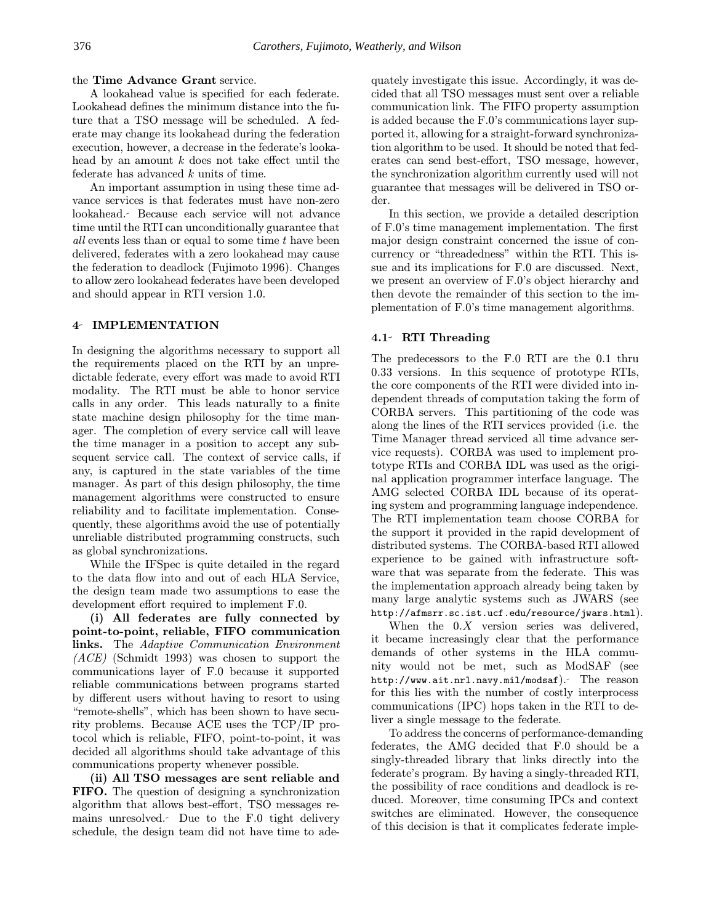## the Time Advance Grant service.

A lookahead value is specified for each federate. Lookahead defines the minimum distance into the future that a TSO message will be scheduled. A federate may change its lookahead during the federation execution, however, a decrease in the federate's lookahead by an amount  $k$  does not take effect until the federate has advanced k units of time.

An important assumption in using these time advance services is that federates must have non-zero lookahead. Because each service will not advance time until the RTI can unconditionally guarantee that all events less than or equal to some time t have been delivered, federates with a zero lookahead may cause the federation to deadlock (Fujimoto 1996). Changes to allow zero lookahead federates have been developed and should appear in RTI version 1.0.

## 4 IMPLEMENTATION

In designing the algorithms necessary to support all the requirements placed on the RTI by an unpredictable federate, every effort was made to avoid RTI modality. The RTI must be able to honor service calls in any order. This leads naturally to a finite state machine design philosophy for the time manager. The completion of every service call will leave the time manager in a position to accept any subsequent service call. The context of service calls, if any, is captured in the state variables of the time manager. As part of this design philosophy, the time management algorithms were constructed to ensure reliability and to facilitate implementation. Consequently, these algorithms avoid the use of potentially unreliable distributed programming constructs, such as global synchronizations.

While the IFSpec is quite detailed in the regard to the data flow into and out of each HLA Service, the design team made two assumptions to ease the development effort required to implement F.0.

(i) All federates are fully connected by point-to-point, reliable, FIFO communication links. The Adaptive Communication Environment (ACE) (Schmidt 1993) was chosen to support the communications layer of F.0 because it supported reliable communications between programs started by different users without having to resort to using "remote-shells", which has been shown to have security problems. Because ACE uses the TCP/IP protocol which is reliable, FIFO, point-to-point, it was decided all algorithms should take advantage of this communications property whenever possible.

(ii) All TSO messages are sent reliable and FIFO. The question of designing a synchronization algorithm that allows best-effort, TSO messages remains unresolved. Due to the F.0 tight delivery schedule, the design team did not have time to adequately investigate this issue. Accordingly, it was decided that all TSO messages must sent over a reliable communication link. The FIFO property assumption is added because the F.0's communications layer supported it, allowing for a straight-forward synchronization algorithm to be used. It should be noted that federates can send best-effort, TSO message, however, the synchronization algorithm currently used will not guarantee that messages will be delivered in TSO order.

In this section, we provide a detailed description of F.0's time management implementation. The first major design constraint concerned the issue of concurrency or "threadedness" within the RTI. This issue and its implications for F.0 are discussed. Next, we present an overview of F.0's object hierarchy and then devote the remainder of this section to the implementation of F.0's time management algorithms.

### 4.1 RTI Threading

The predecessors to the F.0 RTI are the 0.1 thru 0.33 versions. In this sequence of prototype RTIs, the core components of the RTI were divided into independent threads of computation taking the form of CORBA servers. This partitioning of the code was along the lines of the RTI services provided (i.e. the Time Manager thread serviced all time advance service requests). CORBA was used to implement prototype RTIs and CORBA IDL was used as the original application programmer interface language. The AMG selected CORBA IDL because of its operating system and programming language independence. The RTI implementation team choose CORBA for the support it provided in the rapid development of distributed systems. The CORBA-based RTI allowed experience to be gained with infrastructure software that was separate from the federate. This was the implementation approach already being taken by many large analytic systems such as JWARS (see http://afmsrr.sc.ist.ucf.edu/resource/jwars.html).

When the  $0.X$  version series was delivered, it became increasingly clear that the performance demands of other systems in the HLA community would not be met, such as ModSAF (see http://www.ait.nrl.navy.mil/modsaf). The reason for this lies with the number of costly interprocess communications (IPC) hops taken in the RTI to deliver a single message to the federate.

To address the concerns of performance-demanding federates, the AMG decided that F.0 should be a singly-threaded library that links directly into the federate's program. By having a singly-threaded RTI, the possibility of race conditions and deadlock is reduced. Moreover, time consuming IPCs and context switches are eliminated. However, the consequence of this decision is that it complicates federate imple-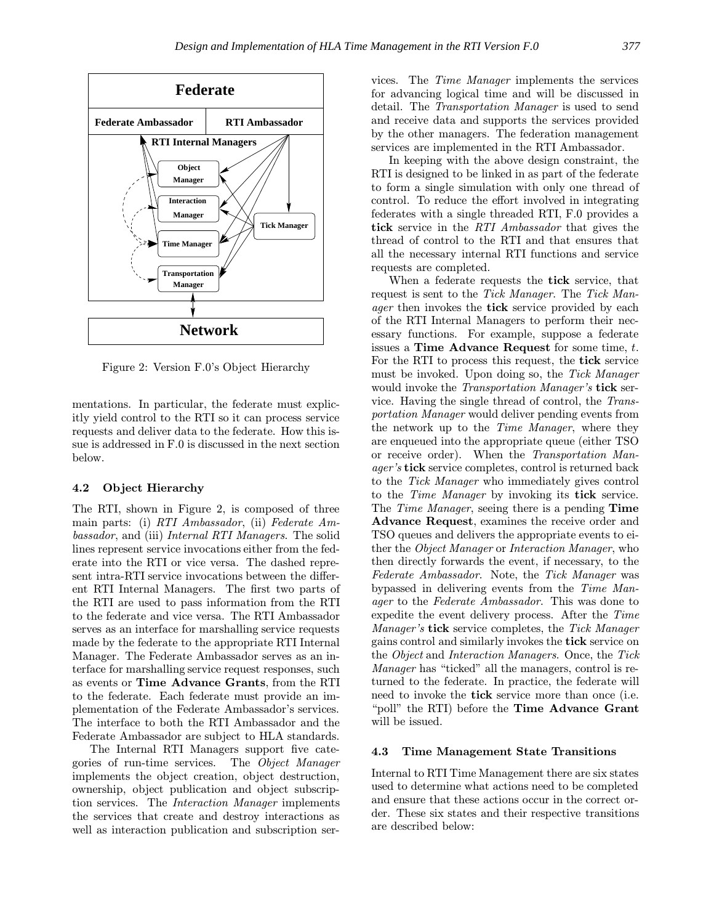

Figure 2: Version F.0's Object Hierarchy

mentations. In particular, the federate must explicitly yield control to the RTI so it can process service requests and deliver data to the federate. How this issue is addressed in F.0 is discussed in the next section below.

## 4.2 Object Hierarchy

The RTI, shown in Figure 2, is composed of three main parts: (i) RTI Ambassador, (ii) Federate Ambassador, and (iii) Internal RTI Managers. The solid lines represent service invocations either from the federate into the RTI or vice versa. The dashed represent intra-RTI service invocations between the different RTI Internal Managers. The first two parts of the RTI are used to pass information from the RTI to the federate and vice versa. The RTI Ambassador serves as an interface for marshalling service requests made by the federate to the appropriate RTI Internal Manager. The Federate Ambassador serves as an interface for marshalling service request responses, such as events or Time Advance Grants, from the RTI to the federate. Each federate must provide an implementation of the Federate Ambassador's services. The interface to both the RTI Ambassador and the Federate Ambassador are subject to HLA standards.

The Internal RTI Managers support five categories of run-time services. The Object Manager implements the object creation, object destruction, ownership, object publication and object subscription services. The Interaction Manager implements the services that create and destroy interactions as well as interaction publication and subscription services. The Time Manager implements the services for advancing logical time and will be discussed in detail. The Transportation Manager is used to send and receive data and supports the services provided by the other managers. The federation management services are implemented in the RTI Ambassador.

In keeping with the above design constraint, the RTI is designed to be linked in as part of the federate to form a single simulation with only one thread of control. To reduce the effort involved in integrating federates with a single threaded RTI, F.0 provides a tick service in the RTI Ambassador that gives the thread of control to the RTI and that ensures that all the necessary internal RTI functions and service requests are completed.

When a federate requests the tick service, that request is sent to the Tick Manager. The Tick Man*ager* then invokes the **tick** service provided by each of the RTI Internal Managers to perform their necessary functions. For example, suppose a federate issues a Time Advance Request for some time,  $t$ . For the RTI to process this request, the tick service must be invoked. Upon doing so, the Tick Manager would invoke the *Transportation Manager's* tick service. Having the single thread of control, the Transportation Manager would deliver pending events from the network up to the Time Manager, where they are enqueued into the appropriate queue (either TSO or receive order). When the Transportation Manager's tick service completes, control is returned back to the Tick Manager who immediately gives control to the Time Manager by invoking its tick service. The *Time Manager*, seeing there is a pending **Time** Advance Request, examines the receive order and TSO queues and delivers the appropriate events to either the Object Manager or Interaction Manager, who then directly forwards the event, if necessary, to the Federate Ambassador. Note, the Tick Manager was bypassed in delivering events from the Time Manager to the Federate Ambassador. This was done to expedite the event delivery process. After the Time Manager's tick service completes, the Tick Manager gains control and similarly invokes the tick service on the Object and Interaction Managers. Once, the Tick Manager has "ticked" all the managers, control is returned to the federate. In practice, the federate will need to invoke the tick service more than once (i.e. "poll" the RTI) before the Time Advance Grant will be issued.

## 4.3 Time Management State Transitions

Internal to RTI Time Management there are six states used to determine what actions need to be completed and ensure that these actions occur in the correct order. These six states and their respective transitions are described below: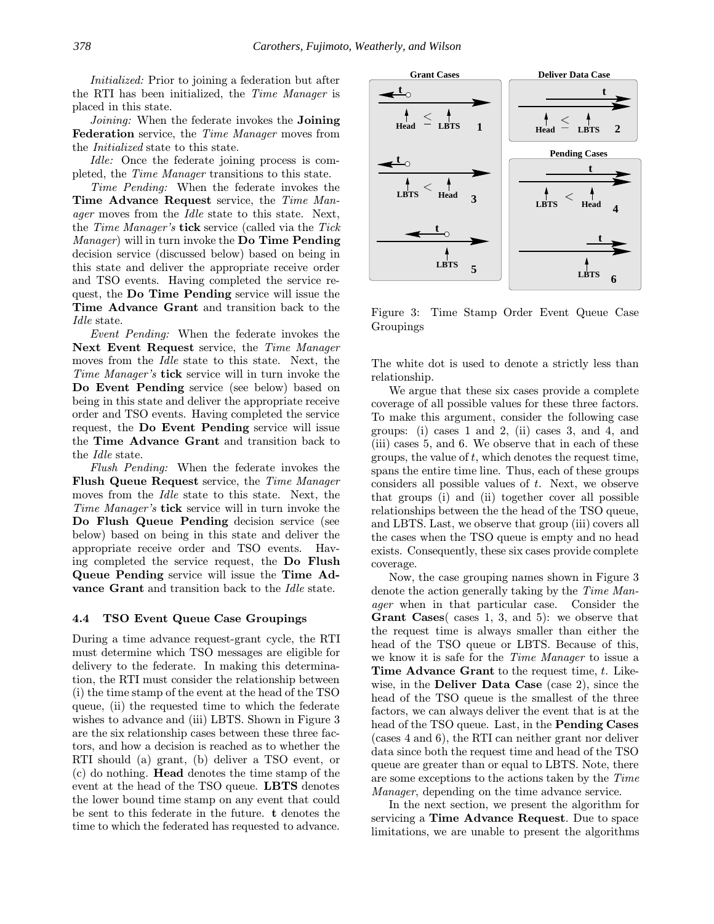Initialized: Prior to joining a federation but after the RTI has been initialized, the Time Manager is placed in this state.

Joining: When the federate invokes the **Joining** Federation service, the Time Manager moves from the Initialized state to this state.

Idle: Once the federate joining process is completed, the Time Manager transitions to this state.

Time Pending: When the federate invokes the Time Advance Request service, the Time Man*ager* moves from the *Idle* state to this state. Next, the Time Manager's tick service (called via the Tick Manager) will in turn invoke the Do Time Pending decision service (discussed below) based on being in this state and deliver the appropriate receive order and TSO events. Having completed the service request, the Do Time Pending service will issue the Time Advance Grant and transition back to the Idle state.

Event Pending: When the federate invokes the Next Event Request service, the Time Manager moves from the Idle state to this state. Next, the Time Manager's tick service will in turn invoke the Do Event Pending service (see below) based on being in this state and deliver the appropriate receive order and TSO events. Having completed the service request, the Do Event Pending service will issue the Time Advance Grant and transition back to the Idle state.

Flush Pending: When the federate invokes the Flush Queue Request service, the Time Manager moves from the Idle state to this state. Next, the Time Manager's tick service will in turn invoke the Do Flush Queue Pending decision service (see below) based on being in this state and deliver the appropriate receive order and TSO events. Having completed the service request, the Do Flush Queue Pending service will issue the Time Advance Grant and transition back to the Idle state.

#### 4.4 TSO Event Queue Case Groupings

During a time advance request-grant cycle, the RTI must determine which TSO messages are eligible for delivery to the federate. In making this determination, the RTI must consider the relationship between (i) the time stamp of the event at the head of the TSO queue, (ii) the requested time to which the federate wishes to advance and (iii) LBTS. Shown in Figure 3 are the six relationship cases between these three factors, and how a decision is reached as to whether the RTI should (a) grant, (b) deliver a TSO event, or (c) do nothing. Head denotes the time stamp of the event at the head of the TSO queue. LBTS denotes the lower bound time stamp on any event that could be sent to this federate in the future. t denotes the time to which the federated has requested to advance.



Figure 3: Time Stamp Order Event Queue Case Groupings

The white dot is used to denote a strictly less than relationship.

We argue that these six cases provide a complete coverage of all possible values for these three factors. To make this argument, consider the following case groups: (i) cases 1 and 2, (ii) cases 3, and 4, and (iii) cases 5, and 6. We observe that in each of these groups, the value of  $t$ , which denotes the request time, spans the entire time line. Thus, each of these groups considers all possible values of t. Next, we observe that groups (i) and (ii) together cover all possible relationships between the the head of the TSO queue, and LBTS. Last, we observe that group (iii) covers all the cases when the TSO queue is empty and no head exists. Consequently, these six cases provide complete coverage.

Now, the case grouping names shown in Figure 3 denote the action generally taking by the Time Manager when in that particular case. Consider the Grant Cases( cases 1, 3, and 5): we observe that the request time is always smaller than either the head of the TSO queue or LBTS. Because of this, we know it is safe for the Time Manager to issue a Time Advance Grant to the request time, t. Likewise, in the Deliver Data Case (case 2), since the head of the TSO queue is the smallest of the three factors, we can always deliver the event that is at the head of the TSO queue. Last, in the Pending Cases (cases 4 and 6), the RTI can neither grant nor deliver data since both the request time and head of the TSO queue are greater than or equal to LBTS. Note, there are some exceptions to the actions taken by the Time Manager, depending on the time advance service.

In the next section, we present the algorithm for servicing a Time Advance Request. Due to space limitations, we are unable to present the algorithms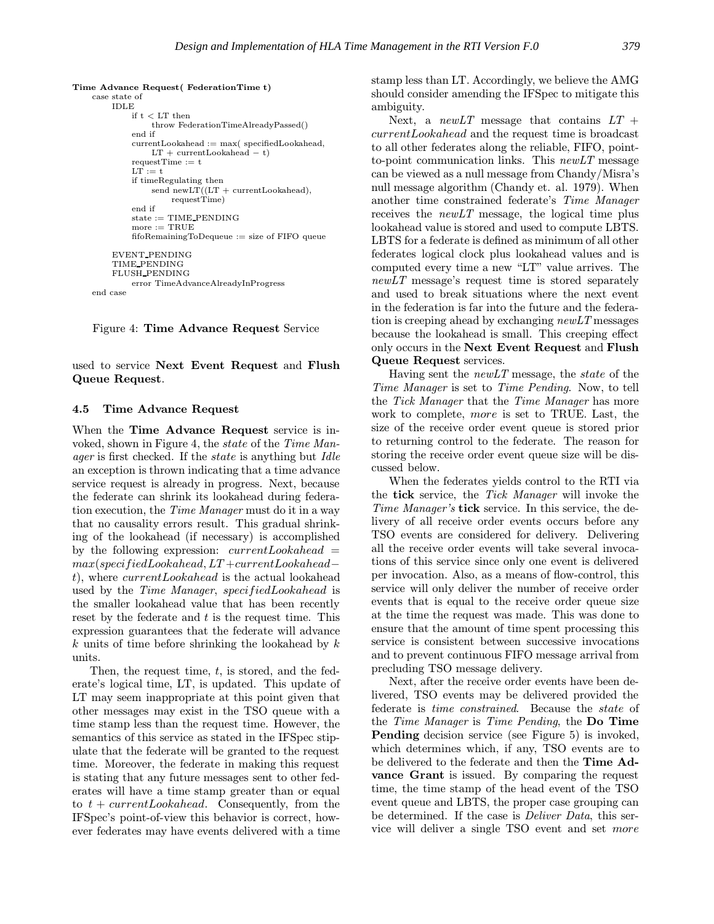```
Time Advance Request( FederationTime t)
 case state of
     IDLE
          if t < LT then
               throw FederationTimeAlreadyPassed()
          end if
          currentLookahead := max( specifiedLookahead,
               LT + currentLook ahead - t)requestTime := t
          LT := tif timeRegulating then
               send newLT((LT + currentLook ahead),requestTime)
          end if
          \text{state} := \text{TIME\_PENDING}more := TRUE\operatorname{fi}fifoRemainingToDequeue\colon=\operatorname{size} of FIFO queue
     EVENT PENDING
     TIME PENDING
     FLUSH PENDING
          error TimeAdvanceAlreadyInProgress
 end case
```
Figure 4: Time Advance Request Service

used to service Next Event Request and Flush Queue Request.

## 4.5 Time Advance Request

When the Time Advance Request service is invoked, shown in Figure 4, the state of the Time Manager is first checked. If the state is anything but Idle an exception is thrown indicating that a time advance service request is already in progress. Next, because the federate can shrink its lookahead during federation execution, the Time Manager must do it in a way that no causality errors result. This gradual shrinking of the lookahead (if necessary) is accomplished by the following expression:  $currentLook ahead =$ max(specifiedLookahead, LT +currentLookahead− t), where currentLookahead is the actual lookahead used by the Time Manager, specifiedLookahead is the smaller lookahead value that has been recently reset by the federate and  $t$  is the request time. This expression guarantees that the federate will advance  $k$  units of time before shrinking the lookahead by  $k$ units.

Then, the request time, t, is stored, and the federate's logical time, LT, is updated. This update of LT may seem inappropriate at this point given that other messages may exist in the TSO queue with a time stamp less than the request time. However, the semantics of this service as stated in the IFSpec stipulate that the federate will be granted to the request time. Moreover, the federate in making this request is stating that any future messages sent to other federates will have a time stamp greater than or equal to  $t + currentLook ahead$ . Consequently, from the IFSpec's point-of-view this behavior is correct, however federates may have events delivered with a time

stamp less than LT. Accordingly, we believe the AMG should consider amending the IFSpec to mitigate this ambiguity.

Next, a *newLT* message that contains  $LT +$ currentLookahead and the request time is broadcast to all other federates along the reliable, FIFO, pointto-point communication links. This  $newLT$  message can be viewed as a null message from Chandy/Misra's null message algorithm (Chandy et. al. 1979). When another time constrained federate's Time Manager receives the newLT message, the logical time plus lookahead value is stored and used to compute LBTS. LBTS for a federate is defined as minimum of all other federates logical clock plus lookahead values and is computed every time a new "LT" value arrives. The  $newLT$  message's request time is stored separately and used to break situations where the next event in the federation is far into the future and the federation is creeping ahead by exchanging  $newLT$  messages because the lookahead is small. This creeping effect only occurs in the Next Event Request and Flush Queue Request services.

Having sent the newLT message, the state of the Time Manager is set to Time Pending. Now, to tell the Tick Manager that the Time Manager has more work to complete, more is set to TRUE. Last, the size of the receive order event queue is stored prior to returning control to the federate. The reason for storing the receive order event queue size will be discussed below.

When the federates yields control to the RTI via the **tick** service, the Tick Manager will invoke the Time Manager's tick service. In this service, the delivery of all receive order events occurs before any TSO events are considered for delivery. Delivering all the receive order events will take several invocations of this service since only one event is delivered per invocation. Also, as a means of flow-control, this service will only deliver the number of receive order events that is equal to the receive order queue size at the time the request was made. This was done to ensure that the amount of time spent processing this service is consistent between successive invocations and to prevent continuous FIFO message arrival from precluding TSO message delivery.

Next, after the receive order events have been delivered, TSO events may be delivered provided the federate is time constrained. Because the state of the Time Manager is Time Pending, the Do Time Pending decision service (see Figure 5) is invoked, which determines which, if any, TSO events are to be delivered to the federate and then the Time Advance Grant is issued. By comparing the request time, the time stamp of the head event of the TSO event queue and LBTS, the proper case grouping can be determined. If the case is Deliver Data, this service will deliver a single TSO event and set more